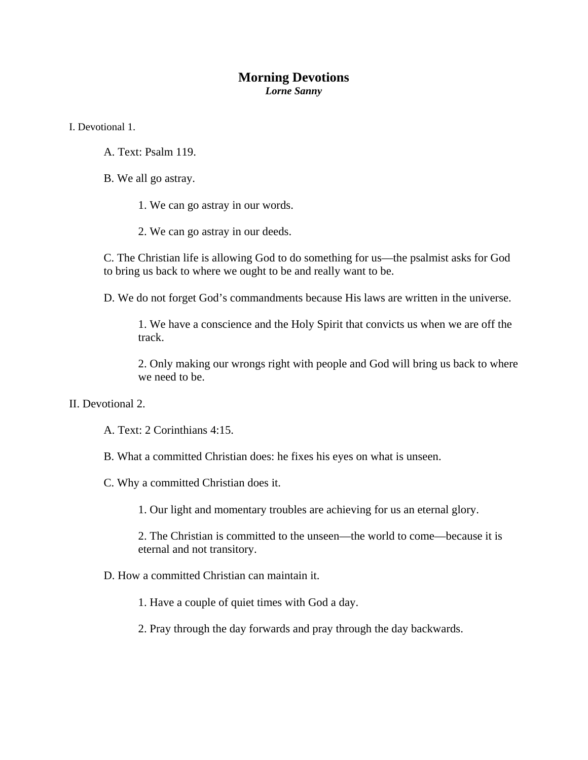## **Morning Devotions**  *Lorne Sanny*

I. Devotional 1.

A. Text: Psalm 119.

B. We all go astray.

1. We can go astray in our words.

2. We can go astray in our deeds.

C. The Christian life is allowing God to do something for us—the psalmist asks for God to bring us back to where we ought to be and really want to be.

D. We do not forget God's commandments because His laws are written in the universe.

1. We have a conscience and the Holy Spirit that convicts us when we are off the track.

2. Only making our wrongs right with people and God will bring us back to where we need to be.

II. Devotional 2.

A. Text: 2 Corinthians 4:15.

B. What a committed Christian does: he fixes his eyes on what is unseen.

C. Why a committed Christian does it.

1. Our light and momentary troubles are achieving for us an eternal glory.

2. The Christian is committed to the unseen—the world to come—because it is eternal and not transitory.

D. How a committed Christian can maintain it.

1. Have a couple of quiet times with God a day.

2. Pray through the day forwards and pray through the day backwards.